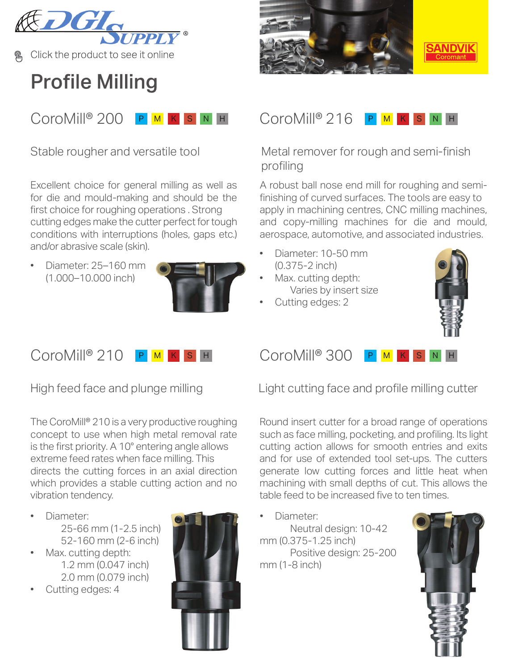

Click the product to see it online

## **Profile Milling**



Stable rougher and versatile tool

Excellent choice for general milling as well as for die and mould-making and should be the [first choice for roughing operations . Strong](https://www.sandvik.coromant.com/en-gb/products/coromill_200/pages/default.aspx?utm_source=share&utm_medium=pdf&utm_campaign=q3-mill-camp-2020) cutting edges make the cutter perfect for tough conditions with interruptions (holes, gaps etc.) and/or abrasive scale (skin).

• Diameter: 25–160 mm (1.000–10.000 inch)



#### CoroMill® 210 P <mark>M</mark> K S H

High feed face and plunge milling

The CoroMill® 210 is a very productive roughing concept to use when high metal removal rate [is the first priority. A 10° entering angle allows](https://www.sandvik.coromant.com/en-gb/products/coromill_210/pages/default.aspx?utm_source=share&utm_medium=pdf&utm_campaign=q3-mill-camp-2020) extreme feed rates when face milling. This directs the cutting forces in an axial direction which provides a stable cutting action and no vibration tendency.

- Diameter: 25-66 mm (1-2.5 inch) 52-160 mm (2-6 inch)
- Max. cutting depth: 1.2 mm (0.047 inch) 2.0 mm (0.079 inch)
- Cutting edges: 4





## [Metal remover for rough and semi-finish](https://www.sandvik.coromant.com/en-gb/products/coromill_216/pages/default.aspx?utm_source=share&utm_medium=pdf&utm_campaign=q3-mill-camp-2020)  profiling

A robust ball nose end mill for roughing and semifinishing of curved surfaces. The tools are easy to apply in machining centres, CNC milling machines, and copy-milling machines for die and mould, aerospace, automotive, and associated industries.

- Diameter: 10-50 mm (0.375-2 inch)
- Max. cutting depth: Varies by insert size
- Cutting edges: 2



 $CoroMille$  300 P

[Light cutting face and profile milling cutter](https://www.sandvik.coromant.com/en-gb/products/coromill_300/pages/default.aspx?utm_source=share&utm_medium=pdf&utm_campaign=q3-mill-camp-2020)

Round insert cutter for a broad range of operations such as face milling, pocketing, and profiling. Its light cutting action allows for smooth entries and exits and for use of extended tool set-ups. The cutters generate low cutting forces and little heat when machining with small depths of cut. This allows the table feed to be increased five to ten times.

• Diameter:

Neutral design: 10-42 mm (0.375-1.25 inch) Positive design: 25-200 mm (1-8 inch)